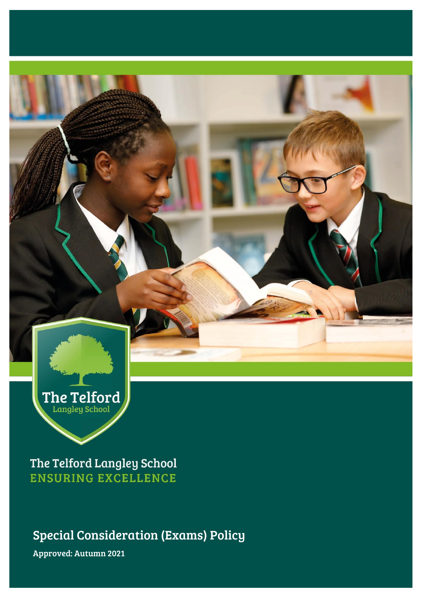

The Telford Langley School **ENSURING EXCELLENCE** 

Special Consideration (Exams) Policy

Approved: Autumn 2021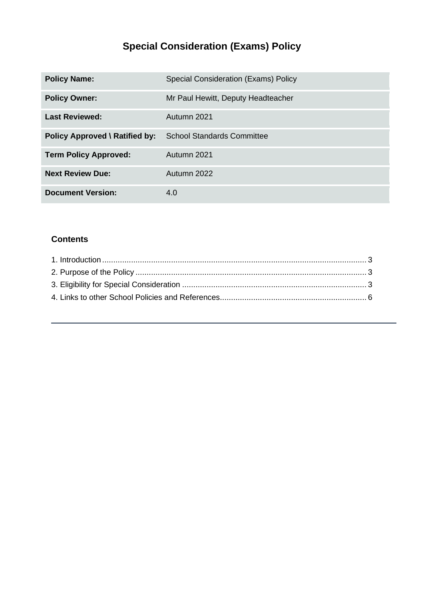# **Special Consideration (Exams) Policy**

| <b>Policy Name:</b>                   | Special Consideration (Exams) Policy |
|---------------------------------------|--------------------------------------|
| <b>Policy Owner:</b>                  | Mr Paul Hewitt, Deputy Headteacher   |
| <b>Last Reviewed:</b>                 | Autumn 2021                          |
| <b>Policy Approved \ Ratified by:</b> | <b>School Standards Committee</b>    |
| <b>Term Policy Approved:</b>          | Autumn 2021                          |
| <b>Next Review Due:</b>               | Autumn 2022                          |
| <b>Document Version:</b>              | 4.0                                  |

### **Contents**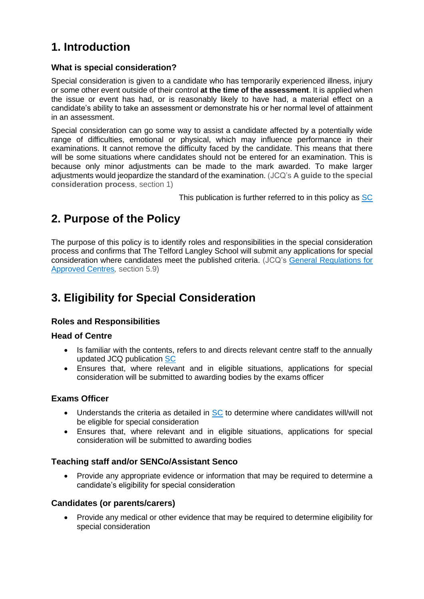## <span id="page-2-0"></span>**1. Introduction**

#### **What is special consideration?**

Special consideration is given to a candidate who has temporarily experienced illness, injury or some other event outside of their control **at the time of the assessment**. It is applied when the issue or event has had, or is reasonably likely to have had, a material effect on a candidate's ability to take an assessment or demonstrate his or her normal level of attainment in an assessment.

Special consideration can go some way to assist a candidate affected by a potentially wide range of difficulties, emotional or physical, which may influence performance in their examinations. It cannot remove the difficulty faced by the candidate. This means that there will be some situations where candidates should not be entered for an examination. This is because only minor adjustments can be made to the mark awarded. To make larger adjustments would jeopardize the standard of the examination. (JCQ's **A guide to the special consideration process**, section 1)

This publication is further referred to in this policy as [SC](http://www.jcq.org.uk/exams-office/access-arrangements-and-special-consideration/regulations-and-guidance)

### <span id="page-2-1"></span>**2. Purpose of the Policy**

The purpose of this policy is to identify roles and responsibilities in the special consideration process and confirms that The Telford Langley School will submit any applications for special consideration where candidates meet the published criteria. (JCQ's [General Regulations for](https://www.jcq.org.uk/exams-office/general-regulations)  [Approved Centres](https://www.jcq.org.uk/exams-office/general-regulations)*,* section 5.9)

### <span id="page-2-2"></span>**3. Eligibility for Special Consideration**

#### **Roles and Responsibilities**

#### **Head of Centre**

- Is familiar with the contents, refers to and directs relevant centre staff to the annually updated JCQ publication [SC](http://www.jcq.org.uk/exams-office/access-arrangements-and-special-consideration/regulations-and-guidance)
- Ensures that, where relevant and in eligible situations, applications for special consideration will be submitted to awarding bodies by the exams officer

#### **Exams Officer**

- Understands the criteria as detailed in [SC](http://www.jcq.org.uk/exams-office/access-arrangements-and-special-consideration/regulations-and-guidance) to determine where candidates will/will not be eligible for special consideration
- Ensures that, where relevant and in eligible situations, applications for special consideration will be submitted to awarding bodies

#### **Teaching staff and/or SENCo/Assistant Senco**

• Provide any appropriate evidence or information that may be required to determine a candidate's eligibility for special consideration

#### **Candidates (or parents/carers)**

• Provide any medical or other evidence that may be required to determine eligibility for special consideration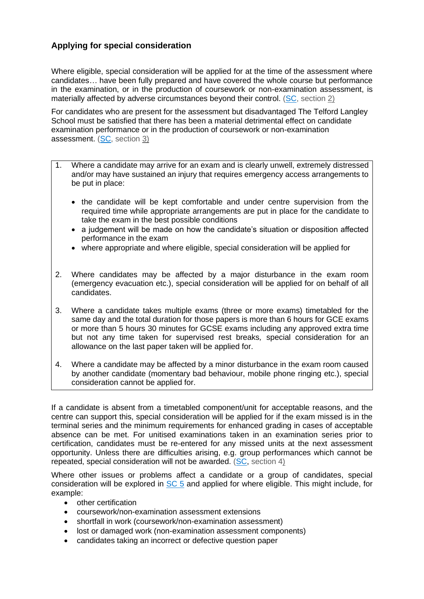#### **Applying for special consideration**

Where eligible, special consideration will be applied for at the time of the assessment where candidates*…* have been fully prepared and have covered the whole course but performance in the examination, or in the production of coursework or non-examination assessment, is materially affected by adverse circumstances beyond their control. [\(SC,](http://www.jcq.org.uk/exams-office/access-arrangements-and-special-consideration/regulations-and-guidance) section 2)

For candidates who are present for the assessment but disadvantaged The Telford Langley School must be satisfied that there has been a material detrimental effect on candidate examination performance or in the production of coursework or non-examination assessment. [\(SC,](http://www.jcq.org.uk/exams-office/access-arrangements-and-special-consideration/regulations-and-guidance) section 3)

- 1. Where a candidate may arrive for an exam and is clearly unwell, extremely distressed and/or may have sustained an injury that requires emergency access arrangements to be put in place:
	- the candidate will be kept comfortable and under centre supervision from the required time while appropriate arrangements are put in place for the candidate to take the exam in the best possible conditions
	- a judgement will be made on how the candidate's situation or disposition affected performance in the exam
	- where appropriate and where eligible, special consideration will be applied for
- 2. Where candidates may be affected by a major disturbance in the exam room (emergency evacuation etc.), special consideration will be applied for on behalf of all candidates.
- 3. Where a candidate takes multiple exams (three or more exams) timetabled for the same day and the total duration for those papers is more than 6 hours for GCE exams or more than 5 hours 30 minutes for GCSE exams including any approved extra time but not any time taken for supervised rest breaks*,* special consideration for an allowance on the last paper taken will be applied for.
- 4. Where a candidate may be affected by a minor disturbance in the exam room caused by another candidate (momentary bad behaviour, mobile phone ringing etc.), special consideration cannot be applied for.

If a candidate is absent from a timetabled component/unit for acceptable reasons, and the centre can support this, special consideration will be applied for if the exam missed is in the terminal series and the minimum requirements for enhanced grading in cases of acceptable absence can be met. For unitised examinations taken in an examination series prior to certification, candidates must be re-entered for any missed units at the next assessment opportunity. Unless there are difficulties arising, e.g. group performances which cannot be repeated, special consideration will not be awarded. [\(SC,](http://www.jcq.org.uk/exams-office/access-arrangements-and-special-consideration/regulations-and-guidance) section 4)

Where other issues or problems affect a candidate or a group of candidates, special consideration will be explored in [SC 5](http://www.jcq.org.uk/exams-office/access-arrangements-and-special-consideration) and applied for where eligible. This might include, for example:

- other certification
- coursework/non-examination assessment extensions
- shortfall in work (coursework/non-examination assessment)
- lost or damaged work (non-examination assessment components)
- candidates taking an incorrect or defective question paper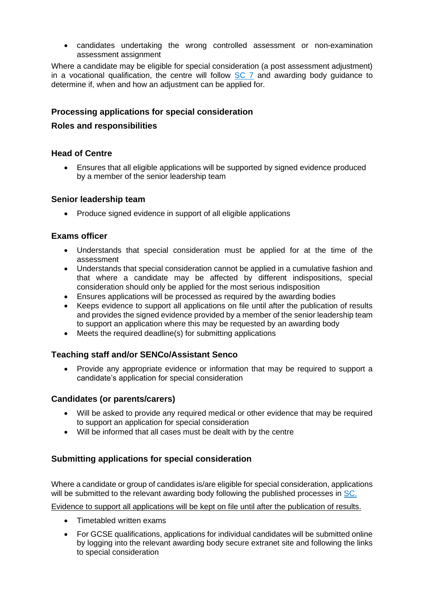• candidates undertaking the wrong controlled assessment or non-examination assessment assignment

Where a candidate may be eligible for special consideration (a post assessment adjustment) in a vocational qualification, the centre will follow [SC 7](http://www.jcq.org.uk/exams-office/access-arrangements-and-special-consideration) and awarding body guidance to determine if, when and how an adjustment can be applied for.

#### **Processing applications for special consideration**

#### **Roles and responsibilities**

#### **Head of Centre**

• Ensures that all eligible applications will be supported by signed evidence produced by a member of the senior leadership team

#### **Senior leadership team**

• Produce signed evidence in support of all eligible applications

#### **Exams officer**

- Understands that special consideration must be applied for at the time of the assessment
- Understands that special consideration cannot be applied in a cumulative fashion and that where a candidate may be affected by different indispositions, special consideration should only be applied for the most serious indisposition
- Ensures applications will be processed as required by the awarding bodies
- Keeps evidence to support all applications on file until after the publication of results and provides the signed evidence provided by a member of the senior leadership team to support an application where this may be requested by an awarding body
- Meets the required deadline(s) for submitting applications

#### **Teaching staff and/or SENCo/Assistant Senco**

• Provide any appropriate evidence or information that may be required to support a candidate's application for special consideration

#### **Candidates (or parents/carers)**

- Will be asked to provide any required medical or other evidence that may be required to support an application for special consideration
- Will be informed that all cases must be dealt with by the centre

#### **Submitting applications for special consideration**

Where a candidate or group of candidates is/are eligible for special consideration, applications will be submitted to the relevant awarding body following the published processes in [SC.](http://www.jcq.org.uk/exams-office/access-arrangements-and-special-consideration)

Evidence to support all applications will be kept on file until after the publication of results.

- Timetabled written exams
- For GCSE qualifications, applications for individual candidates will be submitted online by logging into the relevant awarding body secure extranet site and following the links to special consideration